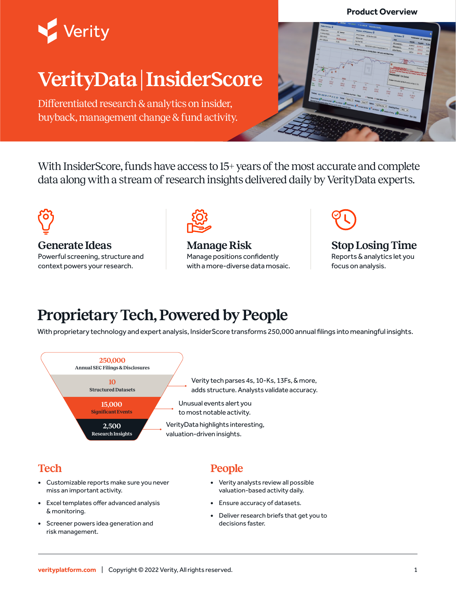#### **Product Overview**



# **VerityData | InsiderScore**

Differentiated research & analytics on insider, buyback, management change & fund activity.



With InsiderScore, funds have access to 15+ years of the most accurate and complete data along with a stream of research insights delivered daily by VerityData experts.



**Generate Ideas**

Powerful screening, structure and context powers your research.



**Manage Risk** Manage positions confidently with a more-diverse data mosaic.



#### **Stop Losing Time** Reports & analytics let you focus on analysis.

## **Proprietary Tech, Powered by People**

With proprietary technology and expert analysis, InsiderScore transforms 250,000 annual filings into meaningful insights.



## **Tech**

- **•** Customizable reports make sure you never miss an important activity.
- **•** Excel templates offer advanced analysis & monitoring.
- **•** Screener powers idea generation and risk management.

## **People**

- **•** Verity analysts review all possible valuation-based activity daily.
- **•** Ensure accuracy of datasets.
- **•** Deliver research briefs that get you to decisions faster.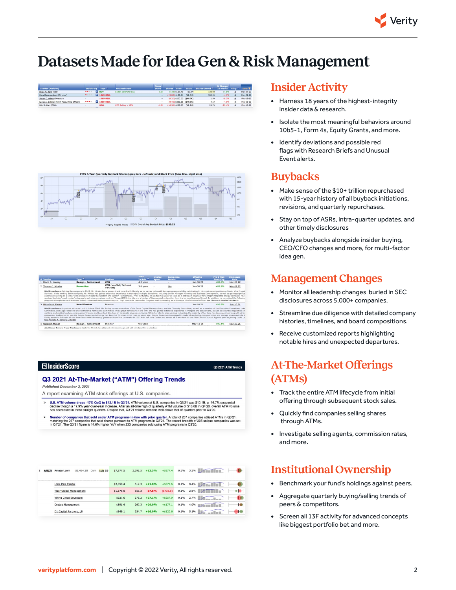

## **Datasets Made for Idea Gen & Risk Management**

Q3 2021 ATM Trends





| # Insider                         | Type <sup>7</sup>          | Position                                                                                                                                                                                                                                                                                                                                                                                                                                                                                                                                                                                                                                                                                                                                                                                                                                                                                                                                                                                                                                                                               | Time<br>In Role | <b>Employ.</b><br>Agree. | Comp/Sev.<br><b>Details</b> | Effective<br>Date | Pre 6-Mon<br><b>Stock Cha</b> | <b>Disclosure</b><br>Date |
|-----------------------------------|----------------------------|----------------------------------------------------------------------------------------------------------------------------------------------------------------------------------------------------------------------------------------------------------------------------------------------------------------------------------------------------------------------------------------------------------------------------------------------------------------------------------------------------------------------------------------------------------------------------------------------------------------------------------------------------------------------------------------------------------------------------------------------------------------------------------------------------------------------------------------------------------------------------------------------------------------------------------------------------------------------------------------------------------------------------------------------------------------------------------------|-----------------|--------------------------|-----------------------------|-------------------|-------------------------------|---------------------------|
| 1 David R. Looney                 | <b>Resign - Retirement</b> | <b>CFO</b>                                                                                                                                                                                                                                                                                                                                                                                                                                                                                                                                                                                                                                                                                                                                                                                                                                                                                                                                                                                                                                                                             | 4.3 years       |                          |                             | Jun-30 22         | $+83.8%$                      | Mar-09 22                 |
| 2 Thomas J. Mireles               | Promotion                  | CFO (was SVP, Technical<br>Services)                                                                                                                                                                                                                                                                                                                                                                                                                                                                                                                                                                                                                                                                                                                                                                                                                                                                                                                                                                                                                                                   | 3.8 years       |                          | Yes                         | Jun-30 22         | $+83.8%$                      | Mar-09 22                 |
|                                   |                            | Blo/Experience: Joining the company in 2005. Mr. Mireles has a proven track record with Murphy as he earned roles with increasing responsibility culminating in his most recent position as Senior Vice Preside<br>Services. While working at the company, Mr. Mireles has gained extensive experience in managing multiple disciplines, including Senior Manager Planning and Business Development, as well as gaining significa<br>experience serving as a senior vice president in both the Western and Eastern Hemispheres. Prior to Murphy, he started his career in 1996 as a petroleum engineer for a major integrated energy company. Mr. N<br>received bachelor's and master's degrees in petroleum engineering from Texas A&M University and a Master of Business Administration from the London Business School. In addition, he completed the following<br>programs through Harvard Business School: Advanced Management Program, High Potentials Leadership Program, and Succeeding as a Strategic Chief Financial Officer. See Thomas J. Mireles's LinkedIn              |                 |                          |                             |                   |                               |                           |
| 3 Michelle A. Earley              | <b>New Director</b>        | <b>Director</b>                                                                                                                                                                                                                                                                                                                                                                                                                                                                                                                                                                                                                                                                                                                                                                                                                                                                                                                                                                                                                                                                        |                 |                          |                             | Jun-10 21         | $+92.6%$                      | $Jun-10.21$               |
| See Michelle A. Earley's LinkedIn |                            | Bio/Experience: A partner at Locke Lord LLP since 2008, Ms. Earley serves as co-chair of the firm's Capital Markets Group and the Diversity Committee, as well as a member of the Executive Committee, Late<br>Committee, and Legal Personnel and Partnership Admissions Committee. Throughout her tenure at the firm, she has gained extensive experience in mergers and acquisitions, as well as securities regulation and<br>matters, and routinely advises management teams and boards of directors on corporate governance topics. While her clients span various industries, the majority of her time has been spent working with oil an<br>companies, leading her to join the Adams Resources & Energy Inc. Board of Directors more than six years ago, Adams Resources is engaged in crude oil marketing, transportation and storage across multiple b-<br>Earley earned a Bachelor of Arts from Texas A&M University, graduated from Yale University in 1997 with her Juris Doctor and served as a law clerk for the Fifth Circuit Court of Appeals prior to joining Locke Lo |                 |                          |                             |                   |                               |                           |
| 4 Walentin Mirosh                 | <b>Resign - Retirement</b> | Director                                                                                                                                                                                                                                                                                                                                                                                                                                                                                                                                                                                                                                                                                                                                                                                                                                                                                                                                                                                                                                                                               | 9.8 years       |                          | ٠                           | May-12 21         | $+96.4%$                      | Mar-26 21                 |
|                                   |                            |                                                                                                                                                                                                                                                                                                                                                                                                                                                                                                                                                                                                                                                                                                                                                                                                                                                                                                                                                                                                                                                                                        |                 |                          |                             |                   |                               |                           |

#### **ElnsiderScore**

#### Q3 2021 At-The-Market ("ATM") Offering Trends

**Published December 2, 2021** 

A report examining ATM stock offerings at U.S. companies.

- U.S. ATM volume drops -17% QoQ to \$12.1B in Q3'21. ATM volume at U.S. companies in Q3'21 was \$12.1B, a -16.7% sequential<br>decline though a 17.9% year-over-year increase. After an all-lime high of quarterly ATM volume of \$1
- Number of companies that sold under ATM programs in-line with prior quarter. A total of 267 companies utilized ATMs in Q3'21<br>matching the 267 companies that sold shares pursuant to ATM programs in Q2'21. The record breadth

| AMZN<br>Amazon.com       | \$1,494.1B                     |         | Com hide 26 | \$7,977.5       | 2.392.5    | $+13.5%$    | $+$ \$977.4  | 0.5%                   |         | $3.3\%$ |                               |
|--------------------------|--------------------------------|---------|-------------|-----------------|------------|-------------|--------------|------------------------|---------|---------|-------------------------------|
|                          | Lone Pine Capital              |         |             | \$2,058.4       | 617.3      | $+71.0%$    | $+$ \$877.6  | 0.1%                   |         | 8.4%    |                               |
|                          | <b>Tiger Global Management</b> |         |             | \$1,178.0       | 353.3      | $-37.8%$    | $($ \$735.0) | 0.1%                   |         | 2.6%    | $\bullet$ $\bullet$ $\bullet$ |
|                          | <b>Viking Global Investors</b> |         | \$927.6     | 278.2           | $+37.1%$   | $+$ \$257.9 | 0.1%         |                        | 2.7%    | ΙĐ      |                               |
| <b>Coatue Management</b> |                                | \$891.4 |             | $267.3 + 24.0%$ | $+ $177.1$ | 0.1%        |              | $4.0\%$ <b>EXECUTE</b> | +⊕      |         |                               |
|                          | D1 Capital Partners, LP        |         |             | \$849.1         | 254.7      | $+16.0%$    | $+ $120.6$   | 0.1%                   | $5.1\%$ | STEP 1  |                               |

## **Insider Activity**

- **•** Harness 18 years of the highest-integrity insider data & research.
- **•** Isolate the most meaningful behaviors around 10b5-1, Form 4s, Equity Grants, and more.
- **•** Identify deviations and possible red flags with Research Briefs and Unusual Event alerts.

### **Buybacks**

- **•** Make sense of the \$10+ trillion repurchased with 15-year history of all buyback initiations, revisions, and quarterly repurchases.
- **•** Stay on top of ASRs, intra-quarter updates, and other timely disclosures
- **•** Analyze buybacks alongside insider buying, CEO/CFO changes and more, for multi-factor idea gen.

### **Management Changes**

- **•** Monitor all leadership changes buried in SEC disclosures across 5,000+ companies.
- **•** Streamline due diligence with detailed company histories, timelines, and board compositions.
- **•** Receive customized reports highlighting notable hires and unexpected departures.

## **At-The-Market Offerings (ATMs)**

- **•** Track the entire ATM lifecycle from initial offering through subsequent stock sales.
- **•** Quickly find companies selling shares through ATMs.
- **•** Investigate selling agents, commission rates, and more.

## **Institutional Ownership**

- **•** Benchmark your fund's holdings against peers.
- **•** Aggregate quarterly buying/selling trends of peers & competitors.
- **•** Screen all 13F activity for advanced concepts like biggest portfolio bet and more.